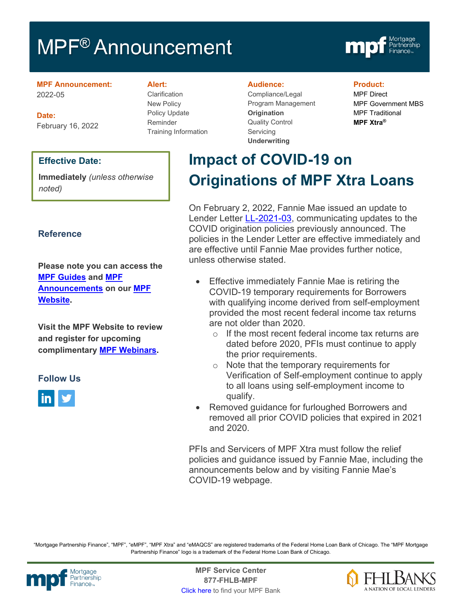# MPF<sup>®</sup> Announcement



**MPF Announcement:** 2022-05

**Date:** February 16, 2022

### **Effective Date:**

**Immediately** *(unless otherwise noted)*

### **Reference**

**Please note you can access the [MPF Guides](https://fhlbmpf.com/mpf-guides/guides) and [MPF](https://fhlbmpf.com/mpf-guides/announcements)  [Announcements](https://fhlbmpf.com/mpf-guides/announcements) on our [MPF](https://fhlbmpf.com/)  [Website.](https://fhlbmpf.com/)** 

**Visit the MPF Website to review and register for upcoming complimentary [MPF Webinars.](https://www.fhlbmpf.com/education/upcoming-webinars)**

### **Follow Us**



#### **Alert:**

Clarification New Policy Policy Update Reminder Training Information

#### **Audience:**

Compliance/Legal Program Management **Origination**  Quality Control **Servicing Underwriting**

#### **Product:**

MPF Direct MPF Government MBS MPF Traditional **MPF Xtra®**

# **Impact of COVID-19 on Originations of MPF Xtra Loans**

On February 2, 2022, Fannie Mae issued an update to Lender Letter [LL-2021-03,](https://singlefamily.fanniemae.com/media/24811/display) communicating updates to the COVID origination policies previously announced. The policies in the Lender Letter are effective immediately and are effective until Fannie Mae provides further notice, unless otherwise stated.

- Effective immediately Fannie Mae is retiring the COVID-19 temporary requirements for Borrowers with qualifying income derived from self-employment provided the most recent federal income tax returns are not older than 2020.
	- o If the most recent federal income tax returns are dated before 2020, PFIs must continue to apply the prior requirements.
	- o Note that the temporary requirements for Verification of Self-employment continue to apply to all loans using self-employment income to qualify.
- Removed guidance for furloughed Borrowers and removed all prior COVID policies that expired in 2021 and 2020.

PFIs and Servicers of MPF Xtra must follow the relief policies and guidance issued by Fannie Mae, including the announcements below and by visiting Fannie Mae's COVID-19 webpage.

"Mortgage Partnership Finance", "MPF", "eMPF", "MPF Xtra" and "eMAQCS" are registered trademarks of the Federal Home Loan Bank of Chicago. The "MPF Mortgage Partnership Finance" logo is a trademark of the Federal Home Loan Bank of Chicago.



Mortgage **Center Service Center**<br>Partnership **Canadian Center Service Center**<br> **Partnership CALL SANGE CANADIAN CENTER SERVICE PROPERTY 877-FHLB-MPF** [Click here](https://www.fhlbmpf.com/fhlbanks/fhlbanks) to find your MPF Bank

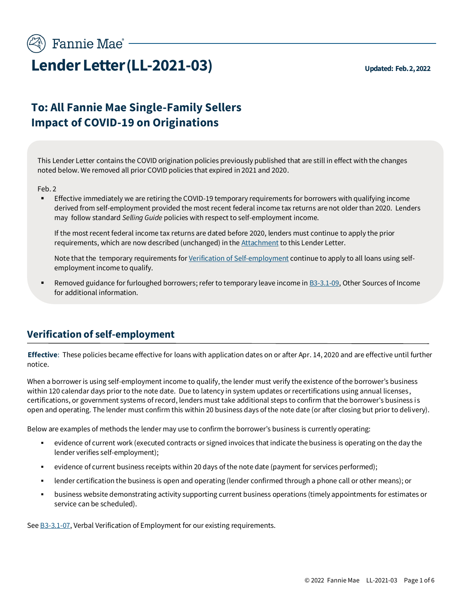

# **Lender Letter(LL-2021-03) Updated: Feb. 2, 2022**

# **To: All Fannie Mae Single-Family Sellers Impact of COVID-19 on Originations**

This Lender Letter contains the COVID origination policies previously published that are still in effect with the changes noted below. We removed all prior COVID policies that expired in 2021 and 2020.

Feb. 2

Effective immediately we are retiring the COVID-19 temporary requirements for borrowers with qualifying income derived from self-employment provided the most recent federal income tax returns are not older than 2020. Lenders may follow standard *Selling Guide* policies with respect to self-employment income.

If the most recent federal income tax returns are dated before 2020, lenders must continue to apply the prior requirements, which are now described (unchanged) in th[e Attachment](#page-4-0) to this Lender Letter.

Note that the temporary requirements fo[r Verification of Self-employment](#page-1-0) continue to apply to all loans using selfemployment income to qualify.

Removed guidance for furloughed borrowers; refer to temporary leave income i[n B3-3.1-09,](https://selling-guide.fanniemae.com/Selling-Guide/Origination-thru-Closing/Subpart-B3-Underwriting-Borrowers/Chapter-B3-3-Income-Assessment/Section-B3-3-1-Employment-and-Other-Sources-of-Income/1035647451/B3-3-1-09-Other-Sources-of-Income-12-15-2021.htm) Other Sources of Income for additional information.

## <span id="page-1-0"></span>**Verification of self-employment**

**Effective**: These policies became effective for loans with application dates on or after Apr. 14, 2020 and are effective until further notice.

When a borrower is using self-employment income to qualify, the lender must verify the existence of the borrower's business within 120 calendar days prior to the note date. Due to latency in system updates or recertifications using annual licenses, certifications, or government systems of record, lenders must take additional steps to confirm that the borrower's business is open and operating. The lender must confirm this within 20 business days of the note date (or after closing but prior to delivery).

Below are examples of methods the lender may use to confirm the borrower's business is currently operating:

- evidence of current work (executed contracts or signed invoices that indicate the business is operating on the day the lender verifies self-employment);
- evidence of current business receipts within 20 days of the note date (payment for services performed);
- lender certification the business is open and operating (lender confirmed through a phone call or other means); or
- business website demonstrating activity supporting current business operations (timely appointments for estimates or service can be scheduled).

See **B3-3.1-07**, Verbal Verification of Employment for our existing requirements.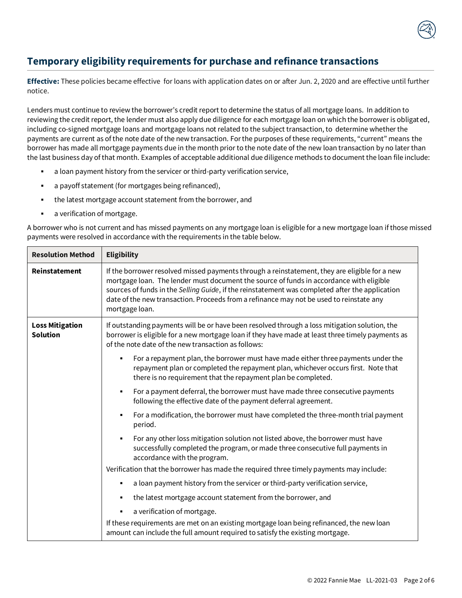

## **Temporary eligibility requirements for purchase and refinance transactions**

**Effective:** These policies became effective for loans with application dates on or after Jun. 2, 2020 and are effective until further notice.

Lenders must continue to review the borrower's credit report to determine the status of all mortgage loans. In addition to reviewing the credit report, the lender must also apply due diligence for each mortgage loan on which the borrower is obligated, including co-signed mortgage loans and mortgage loans not related to the subject transaction, to determine whether the payments are current as of the note date of the new transaction. For the purposes of these requirements, "current" means the borrower has made all mortgage payments due in the month prior to the note date of the new loan transaction by no later than the last business day of that month. Examples of acceptable additional due diligence methods to document the loan file include:

- a loan payment history from the servicer or third-party verification service,
- a payoff statement (for mortgages being refinanced),
- the latest mortgage account statement from the borrower, and
- a verification of mortgage.

A borrower who is not current and has missed payments on any mortgage loan is eligible for a new mortgage loan if those missed payments were resolved in accordance with the requirements in the table below.

| <b>Resolution Method</b>                  | <b>Eligibility</b>                                                                                                                                                                                                                                                                                                                                                                                       |
|-------------------------------------------|----------------------------------------------------------------------------------------------------------------------------------------------------------------------------------------------------------------------------------------------------------------------------------------------------------------------------------------------------------------------------------------------------------|
| Reinstatement                             | If the borrower resolved missed payments through a reinstatement, they are eligible for a new<br>mortgage loan. The lender must document the source of funds in accordance with eligible<br>sources of funds in the Selling Guide, if the reinstatement was completed after the application<br>date of the new transaction. Proceeds from a refinance may not be used to reinstate any<br>mortgage loan. |
| <b>Loss Mitigation</b><br><b>Solution</b> | If outstanding payments will be or have been resolved through a loss mitigation solution, the<br>borrower is eligible for a new mortgage loan if they have made at least three timely payments as<br>of the note date of the new transaction as follows:                                                                                                                                                 |
|                                           | For a repayment plan, the borrower must have made either three payments under the<br>repayment plan or completed the repayment plan, whichever occurs first. Note that<br>there is no requirement that the repayment plan be completed.                                                                                                                                                                  |
|                                           | For a payment deferral, the borrower must have made three consecutive payments<br>٠<br>following the effective date of the payment deferral agreement.                                                                                                                                                                                                                                                   |
|                                           | For a modification, the borrower must have completed the three-month trial payment<br>period.                                                                                                                                                                                                                                                                                                            |
|                                           | For any other loss mitigation solution not listed above, the borrower must have<br>successfully completed the program, or made three consecutive full payments in<br>accordance with the program.                                                                                                                                                                                                        |
|                                           | Verification that the borrower has made the required three timely payments may include:                                                                                                                                                                                                                                                                                                                  |
|                                           | a loan payment history from the servicer or third-party verification service,                                                                                                                                                                                                                                                                                                                            |
|                                           | the latest mortgage account statement from the borrower, and                                                                                                                                                                                                                                                                                                                                             |
|                                           | a verification of mortgage.                                                                                                                                                                                                                                                                                                                                                                              |
|                                           | If these requirements are met on an existing mortgage loan being refinanced, the new loan<br>amount can include the full amount required to satisfy the existing mortgage.                                                                                                                                                                                                                               |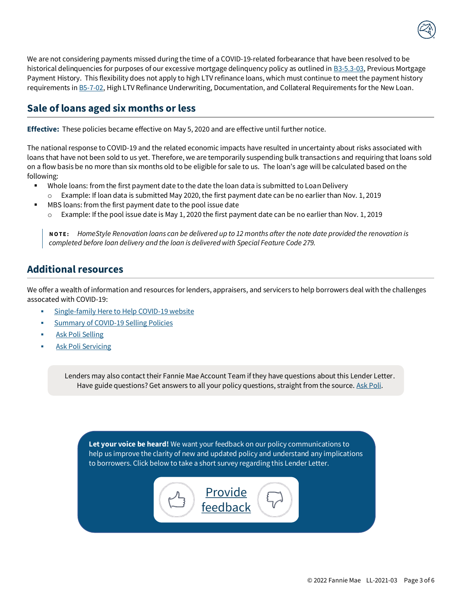

We are not considering payments missed during the time of a COVID-19-related forbearance that have been resolved to be historical delinquencies for purposes of our excessive mortgage delinquency policy as outlined in [B3-5.3-03,](https://selling-guide.fanniemae.com/Selling-Guide/Origination-thru-Closing/Subpart-B3-Underwriting-Borrowers/Chapter-B3-5-Credit-Assessment/Section-B3-5-3-Traditional-Credit-History/1032994141/B3-5-3-03-Previous-Mortgage-Payment-History-07-25-2017.htm?searchtype=sf) Previous Mortgage Payment History. This flexibility does not apply to high LTV refinance loans, which must continue to meet the payment history requirements i[n B5-7-02,](https://selling-guide.fanniemae.com/Selling-Guide/Origination-thru-Closing/Subpart-B5-Unique-Eligibility-Underwriting-Considerations/Chapter-B5-7-High-Loan-to-Value-Refinance-Option/1032992031/B5-7-02-High-LTV-Refinance-Underwriting-Documentation-and-Collateral-Requirements-for-the-New-Loan-08-07-2018.htm?searchtype=sf) High LTV Refinance Underwriting, Documentation, and Collateral Requirements for the New Loan.

### **Sale of loans aged six months or less**

**Effective:** These policies became effective on May 5, 2020 and are effective until further notice.

The national response to COVID-19 and the related economic impacts have resulted in uncertainty about risks associated with loans that have not been sold to us yet. Therefore, we are temporarily suspending bulk transactions and requiring that loans sold on a flow basis be no more than six months old to be eligible for sale to us. The loan's age will be calculated based on the following:

- Whole loans: from the first payment date to the date the loan data is submitted to Loan Delivery
	- Example: If loan data is submitted May 2020, the first payment date can be no earlier than Nov. 1, 2019
- MBS loans: from the first payment date to the pool issue date
	- o Example: If the pool issue date is May 1, 2020 the first payment date can be no earlier than Nov. 1, 2019

**N O T E :** *HomeStyle Renovation loans can be delivered up to 12 months after the note date provided the renovation is completed before loan delivery and the loan is delivered with Special Feature Code 279.* 

### **Additional resources**

We offer a wealth of information and resources for lenders, appraisers, and servicers to help borrowers deal with the challenges assocated with COVID-19:

- [Single-family Here to Help COVID-19 website](https://www.fanniemae.com/here-help-single-family)
- [Summary of COVID-19 Selling Policies](https://singlefamily.fanniemae.com/media/document/pdf/status-covid-19-temporary-selling-policies)
- [Ask Poli Selling](https://askpoli.fanniemae.com/?guideType=Seller)
- **[Ask Poli Servicing](https://askpoli.fanniemae.com/?guideType=Servicer)**

Lenders may also contact their Fannie Mae Account Team if they have questions about this Lender Letter. Have guide questions? Get answers to all your policy questions, straight from the source[. Ask Poli.](https://askpoli.fanniemae.com/?guideType=Seller&_ga=2.213443604.1603156932.1588165002-936014707.1588165002)

**Let your voice be heard!** We want your feedback on our policy communications to help us improve the clarity of new and updated policy and understand any implications to borrowers. Click below to take a short survey regarding this Lender Letter.

> **Provide** [feedback](https://listening.fanniemae.com/wix/p622196295191.aspx?Ch=1&Ct=2&Sn=14)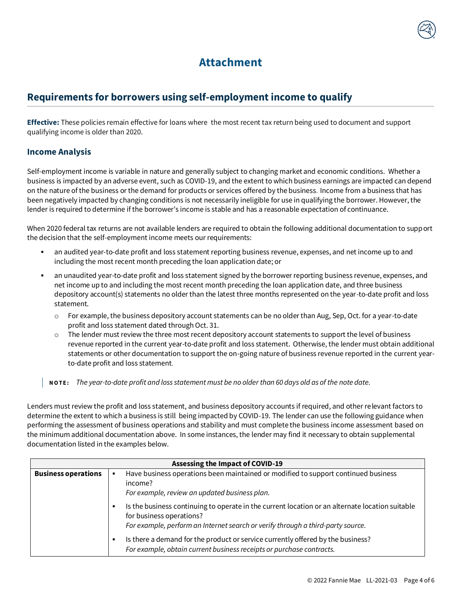

# **Attachment**

# <span id="page-4-0"></span>**Requirements for borrowers using self-employment income to qualify**

**Effective:** These policies remain effective for loans where the most recent tax return being used to document and support qualifying income is older than 2020.

### **Income Analysis**

Self-employment income is variable in nature and generally subject to changing market and economic conditions. Whether a business is impacted by an adverse event, such as COVID-19, and the extent to which business earnings are impacted can depend on the nature of the business or the demand for products or services offered by the business. Income from a business that has been negatively impacted by changing conditions is not necessarily ineligible for use in qualifying the borrower. However, the lender is required to determine if the borrower's income is stable and has a reasonable expectation of continuance.

When 2020 federal tax returns are not available lenders are required to obtain the following additional documentation to support the decision that the self-employment income meets our requirements:

- an audited year-to-date profit and loss statement reporting business revenue, expenses, and net income up to and including the most recent month preceding the loan application date; or
- an unaudited year-to-date profit and loss statement signed by the borrower reporting business revenue, expenses, and net income up to and including the most recent month preceding the loan application date, and three business depository account(s) statements no older than the latest three months represented on the year-to-date profit and loss statement.
	- o For example, the business depository account statements can be no older than Aug, Sep, Oct. for a year-to-date profit and loss statement dated through Oct. 31.
	- The lender must review the three most recent depository account statements to support the level of business revenue reported in the current year-to-date profit and loss statement. Otherwise, the lender must obtain additional statements or other documentation to support the on-going nature of business revenue reported in the current yearto-date profit and loss statement.

**N O T E :** *The year-to-date profit and loss statement must be no older than 60 days old as of the note date.* 

Lenders must review the profit and loss statement, and business depository accounts if required, and other relevant factors to determine the extent to which a business is still being impacted by COVID-19. The lender can use the following guidance when performing the assessment of business operations and stability and must complete the business income assessment based on the minimum additional documentation above. In some instances, the lender may find it necessary to obtain supplemental documentation listed in the examples below.

| <b>Assessing the Impact of COVID-19</b> |                                                                                                                                                                                                                     |
|-----------------------------------------|---------------------------------------------------------------------------------------------------------------------------------------------------------------------------------------------------------------------|
| <b>Business operations</b>              | Have business operations been maintained or modified to support continued business<br>income?<br>For example, review an updated business plan.                                                                      |
|                                         | Is the business continuing to operate in the current location or an alternate location suitable<br>٠<br>for business operations?<br>For example, perform an Internet search or verify through a third-party source. |
|                                         | Is there a demand for the product or service currently offered by the business?<br>$\blacksquare$<br>For example, obtain current business receipts or purchase contracts.                                           |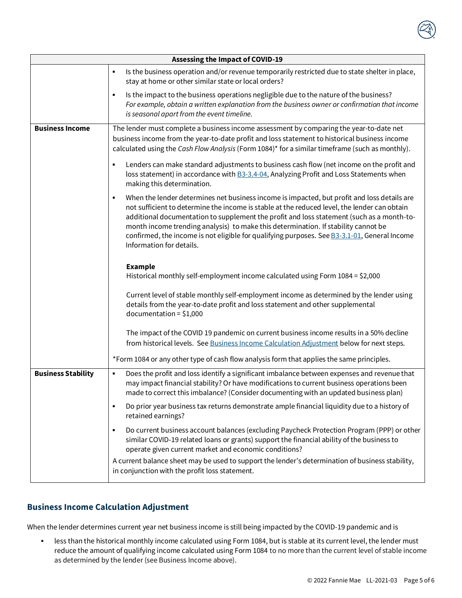

| <b>Assessing the Impact of COVID-19</b> |                                                                                                                                                                                                                                                                                                                                                                                                                                                                                                                 |
|-----------------------------------------|-----------------------------------------------------------------------------------------------------------------------------------------------------------------------------------------------------------------------------------------------------------------------------------------------------------------------------------------------------------------------------------------------------------------------------------------------------------------------------------------------------------------|
|                                         | Is the business operation and/or revenue temporarily restricted due to state shelter in place,<br>٠<br>stay at home or other similar state or local orders?                                                                                                                                                                                                                                                                                                                                                     |
|                                         | Is the impact to the business operations negligible due to the nature of the business?<br>$\blacksquare$<br>For example, obtain a written explanation from the business owner or confirmation that income<br>is seasonal apart from the event timeline.                                                                                                                                                                                                                                                         |
| <b>Business Income</b>                  | The lender must complete a business income assessment by comparing the year-to-date net<br>business income from the year-to-date profit and loss statement to historical business income<br>calculated using the Cash Flow Analysis (Form 1084)* for a similar timeframe (such as monthly).                                                                                                                                                                                                                     |
|                                         | Lenders can make standard adjustments to business cash flow (net income on the profit and<br>٠<br>loss statement) in accordance with <b>B3-3.4-04</b> , Analyzing Profit and Loss Statements when<br>making this determination.                                                                                                                                                                                                                                                                                 |
|                                         | When the lender determines net business income is impacted, but profit and loss details are<br>٠<br>not sufficient to determine the income is stable at the reduced level, the lender can obtain<br>additional documentation to supplement the profit and loss statement (such as a month-to-<br>month income trending analysis) to make this determination. If stability cannot be<br>confirmed, the income is not eligible for qualifying purposes. See B3-3.1-01, General Income<br>Information for details. |
|                                         | <b>Example</b><br>Historical monthly self-employment income calculated using Form 1084 = \$2,000                                                                                                                                                                                                                                                                                                                                                                                                                |
|                                         | Current level of stable monthly self-employment income as determined by the lender using<br>details from the year-to-date profit and loss statement and other supplemental<br>$documentation = $1,000$                                                                                                                                                                                                                                                                                                          |
|                                         | The impact of the COVID 19 pandemic on current business income results in a 50% decline<br>from historical levels. See Business Income Calculation Adjustment below for next steps.                                                                                                                                                                                                                                                                                                                             |
|                                         | *Form 1084 or any other type of cash flow analysis form that applies the same principles.                                                                                                                                                                                                                                                                                                                                                                                                                       |
| <b>Business Stability</b>               | Does the profit and loss identify a significant imbalance between expenses and revenue that<br>٠<br>may impact financial stability? Or have modifications to current business operations been<br>made to correct this imbalance? (Consider documenting with an updated business plan)                                                                                                                                                                                                                           |
|                                         | Do prior year business tax returns demonstrate ample financial liquidity due to a history of<br>٠<br>retained earnings?                                                                                                                                                                                                                                                                                                                                                                                         |
|                                         | Do current business account balances (excluding Paycheck Protection Program (PPP) or other<br>٠<br>similar COVID-19 related loans or grants) support the financial ability of the business to<br>operate given current market and economic conditions?                                                                                                                                                                                                                                                          |
|                                         | A current balance sheet may be used to support the lender's determination of business stability,<br>in conjunction with the profit loss statement.                                                                                                                                                                                                                                                                                                                                                              |

### **Business Income Calculation Adjustment**

When the lender determines current year net business income is still being impacted by the COVID-19 pandemic and is

**.** less than the historical monthly income calculated using Form 1084, but is stable at its current level, the lender must reduce the amount of qualifying income calculated using Form 1084 to no more than the current level of stable income as determined by the lender (see Business Income above).